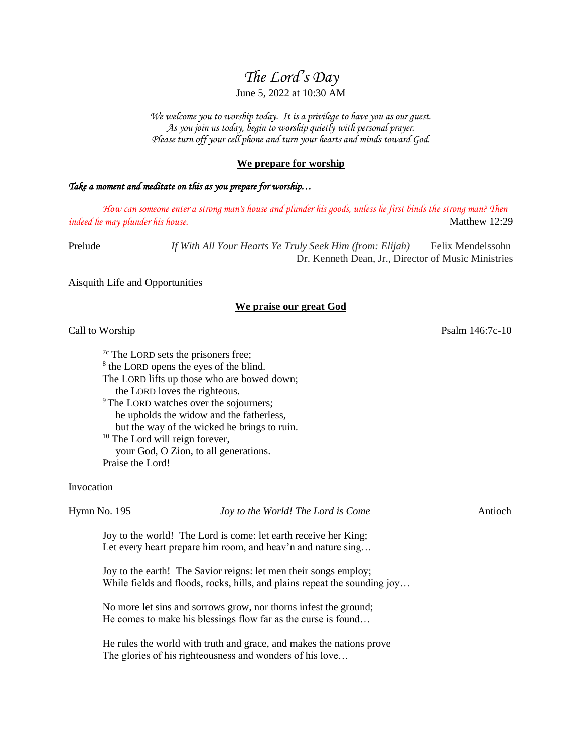# *The Lord's Day*

## June 5, 2022 at 10:30 AM

*We welcome you to worship today. It is a privilege to have you as our guest. As you join us today, begin to worship quietly with personal prayer. Please turn off your cell phone and turn your hearts and minds toward God.*

## **We prepare for worship**

#### *Take a moment and meditate on this as you prepare for worship…*

*How can someone enter a strong man's house and plunder his goods, unless he first binds the strong man? Then indeed he may plunder his house.* **Matthew 12:29 Matthew 12:29** 

Prelude *If With All Your Hearts Ye Truly Seek Him (from: Elijah)* Felix Mendelssohn Dr. Kenneth Dean, Jr., Director of Music Ministries

Aisquith Life and Opportunities

#### **We praise our great God**

#### Call to Worship Psalm 146:7c-10

 $7c$  The LORD sets the prisoners free; <sup>8</sup> the LORD opens the eyes of the blind. The LORD lifts up those who are bowed down; the LORD loves the righteous. <sup>9</sup>The LORD watches over the sojourners; he upholds the widow and the fatherless, but the way of the wicked he brings to ruin. <sup>10</sup> The Lord will reign forever, your God, O Zion, to all generations. Praise the Lord!

Invocation

Hymn No. 195 *Joy to the World! The Lord is Come* Antioch

Joy to the world! The Lord is come: let earth receive her King; Let every heart prepare him room, and heav'n and nature sing...

Joy to the earth! The Savior reigns: let men their songs employ; While fields and floods, rocks, hills, and plains repeat the sounding joy...

No more let sins and sorrows grow, nor thorns infest the ground; He comes to make his blessings flow far as the curse is found…

He rules the world with truth and grace, and makes the nations prove The glories of his righteousness and wonders of his love…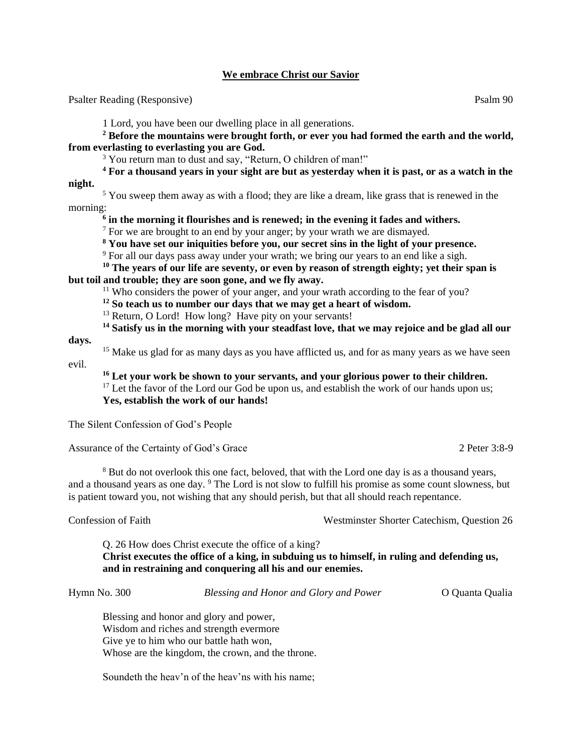## **We embrace Christ our Savior**

Psalter Reading (Responsive) Psalm 90

1 Lord, you have been our dwelling place in all generations.

**<sup>2</sup> Before the mountains were brought forth, or ever you had formed the earth and the world, from everlasting to everlasting you are God.**

<sup>3</sup> You return man to dust and say, "Return, O children of man!"

**<sup>4</sup> For a thousand years in your sight are but as yesterday when it is past, or as a watch in the night.**

 $<sup>5</sup>$  You sweep them away as with a flood; they are like a dream, like grass that is renewed in the</sup> morning:

**6 in the morning it flourishes and is renewed; in the evening it fades and withers.**

 $<sup>7</sup>$  For we are brought to an end by your anger; by your wrath we are dismayed.</sup>

**<sup>8</sup> You have set our iniquities before you, our secret sins in the light of your presence.**

 $9$  For all our days pass away under your wrath; we bring our years to an end like a sigh.

**<sup>10</sup> The years of our life are seventy, or even by reason of strength eighty; yet their span is but toil and trouble; they are soon gone, and we fly away.**

<sup>11</sup> Who considers the power of your anger, and your wrath according to the fear of you?

**<sup>12</sup> So teach us to number our days that we may get a heart of wisdom.**

<sup>13</sup> Return, O Lord! How long? Have pity on your servants!

**<sup>14</sup> Satisfy us in the morning with your steadfast love, that we may rejoice and be glad all our** 

<sup>15</sup> Make us glad for as many days as you have afflicted us, and for as many years as we have seen evil.

**<sup>16</sup> Let your work be shown to your servants, and your glorious power to their children.**  $17$  Let the favor of the Lord our God be upon us, and establish the work of our hands upon us; **Yes, establish the work of our hands!**

The Silent Confession of God's People

Assurance of the Certainty of God's Grace 2 Peter 3:8-9

<sup>8</sup> But do not overlook this one fact, beloved, that with the Lord one day is as a thousand years, and a thousand years as one day. <sup>9</sup> The Lord is not slow to fulfill his promise as some count slowness, but is patient toward you, not wishing that any should perish, but that all should reach repentance.

**days.**

Confession of Faith Westminster Shorter Catechism, Question 26

Q. 26 How does Christ execute the office of a king? **Christ executes the office of a king, in subduing us to himself, in ruling and defending us, and in restraining and conquering all his and our enemies.**

Hymn No. 300 *Blessing and Honor and Glory and Power* O Quanta Qualia

Blessing and honor and glory and power, Wisdom and riches and strength evermore Give ye to him who our battle hath won, Whose are the kingdom, the crown, and the throne.

Soundeth the heav'n of the heav'ns with his name;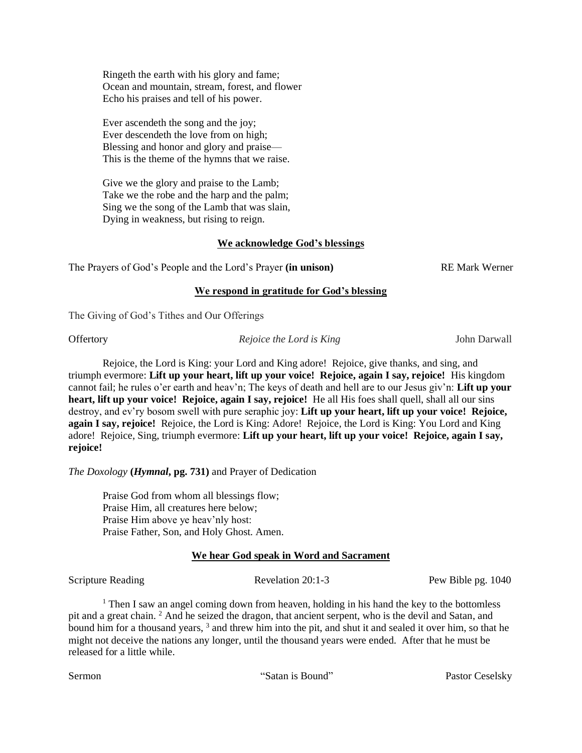Ringeth the earth with his glory and fame; Ocean and mountain, stream, forest, and flower Echo his praises and tell of his power.

Ever ascendeth the song and the joy; Ever descendeth the love from on high; Blessing and honor and glory and praise— This is the theme of the hymns that we raise.

Give we the glory and praise to the Lamb; Take we the robe and the harp and the palm; Sing we the song of the Lamb that was slain, Dying in weakness, but rising to reign.

# **We acknowledge God's blessings**

The Prayers of God's People and the Lord's Prayer (in unison) **REMark Werner** 

## **We respond in gratitude for God's blessing**

The Giving of God's Tithes and Our Offerings

Offertory *Rejoice the Lord is King* John Darwall

Rejoice, the Lord is King: your Lord and King adore! Rejoice, give thanks, and sing, and triumph evermore: **Lift up your heart, lift up your voice! Rejoice, again I say, rejoice!** His kingdom cannot fail; he rules o'er earth and heav'n; The keys of death and hell are to our Jesus giv'n: **Lift up your heart, lift up your voice! Rejoice, again I say, rejoice!** He all His foes shall quell, shall all our sins destroy, and ev'ry bosom swell with pure seraphic joy: **Lift up your heart, lift up your voice! Rejoice, again I say, rejoice!** Rejoice, the Lord is King: Adore! Rejoice, the Lord is King: You Lord and King adore! Rejoice, Sing, triumph evermore: **Lift up your heart, lift up your voice! Rejoice, again I say, rejoice!**

*The Doxology* **(***Hymnal***, pg. 731)** and Prayer of Dedication

Praise God from whom all blessings flow; Praise Him, all creatures here below; Praise Him above ye heav'nly host: Praise Father, Son, and Holy Ghost. Amen.

# **We hear God speak in Word and Sacrament**

Scripture Reading Revelation 20:1-3 Pew Bible pg. 1040

<sup>1</sup> Then I saw an angel coming down from heaven, holding in his hand the key to the bottomless pit and a great chain. <sup>2</sup> And he seized the dragon, that ancient serpent, who is the devil and Satan, and bound him for a thousand years, <sup>3</sup> and threw him into the pit, and shut it and sealed it over him, so that he might not deceive the nations any longer, until the thousand years were ended. After that he must be released for a little while.

Sermon The Contract of Satan is Bound" Pastor Ceselsky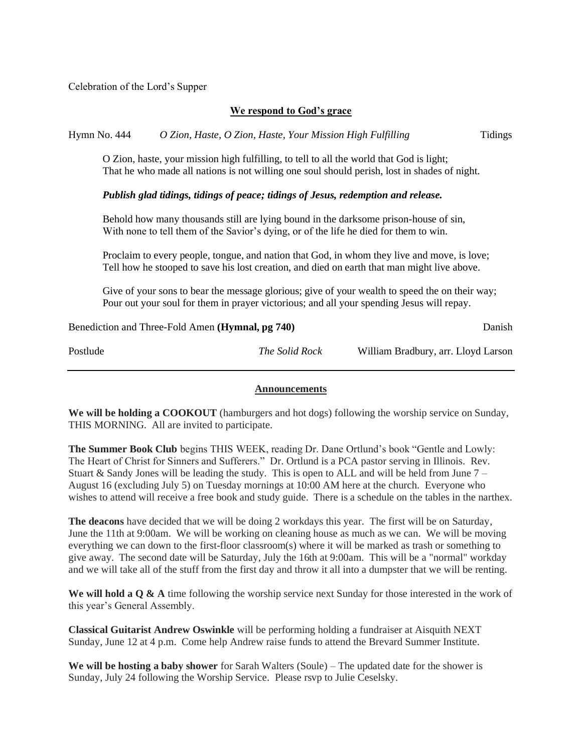Celebration of the Lord's Supper

## **We respond to God's grace**

Hymn No. 444 *O Zion, Haste, O Zion, Haste, Your Mission High Fulfilling* Tidings

O Zion, haste, your mission high fulfilling, to tell to all the world that God is light; That he who made all nations is not willing one soul should perish, lost in shades of night.

## *Publish glad tidings, tidings of peace; tidings of Jesus, redemption and release.*

Behold how many thousands still are lying bound in the darksome prison-house of sin, With none to tell them of the Savior's dying, or of the life he died for them to win.

Proclaim to every people, tongue, and nation that God, in whom they live and move, is love; Tell how he stooped to save his lost creation, and died on earth that man might live above.

Give of your sons to bear the message glorious; give of your wealth to speed the on their way; Pour out your soul for them in prayer victorious; and all your spending Jesus will repay.

| Benediction and Three-Fold Amen ( <b>Hymnal</b> , pg 740) |                       | Danish                              |
|-----------------------------------------------------------|-----------------------|-------------------------------------|
| Postlude                                                  | <i>The Solid Rock</i> | William Bradbury, arr. Lloyd Larson |

#### **Announcements**

**We will be holding a COOKOUT** (hamburgers and hot dogs) following the worship service on Sunday, THIS MORNING. All are invited to participate.

**The Summer Book Club** begins THIS WEEK, reading Dr. Dane Ortlund's book "Gentle and Lowly: The Heart of Christ for Sinners and Sufferers." Dr. Ortlund is a PCA pastor serving in Illinois. Rev. Stuart & Sandy Jones will be leading the study. This is open to ALL and will be held from June  $7 -$ August 16 (excluding July 5) on Tuesday mornings at 10:00 AM here at the church. Everyone who wishes to attend will receive a free book and study guide. There is a schedule on the tables in the narthex.

**The deacons** have decided that we will be doing 2 workdays this year. The first will be on Saturday, June the 11th at 9:00am. We will be working on cleaning house as much as we can. We will be moving everything we can down to the first-floor classroom(s) where it will be marked as trash or something to give away. The second date will be Saturday, July the 16th at 9:00am. This will be a "normal" workday and we will take all of the stuff from the first day and throw it all into a dumpster that we will be renting.

We will hold a Q & A time following the worship service next Sunday for those interested in the work of this year's General Assembly.

**Classical Guitarist Andrew Oswinkle** will be performing holding a fundraiser at Aisquith NEXT Sunday, June 12 at 4 p.m. Come help Andrew raise funds to attend the Brevard Summer Institute.

**We will be hosting a baby shower** for Sarah Walters (Soule) – The updated date for the shower is Sunday, July 24 following the Worship Service. Please rsvp to Julie Ceselsky.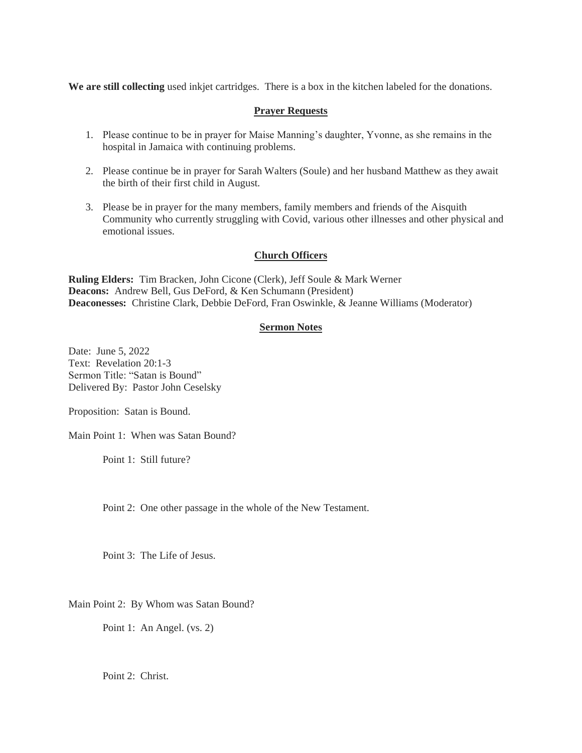**We are still collecting** used inkjet cartridges. There is a box in the kitchen labeled for the donations.

## **Prayer Requests**

- 1. Please continue to be in prayer for Maise Manning's daughter, Yvonne, as she remains in the hospital in Jamaica with continuing problems.
- 2. Please continue be in prayer for Sarah Walters (Soule) and her husband Matthew as they await the birth of their first child in August.
- 3. Please be in prayer for the many members, family members and friends of the Aisquith Community who currently struggling with Covid, various other illnesses and other physical and emotional issues.

## **Church Officers**

**Ruling Elders:** Tim Bracken, John Cicone (Clerk), Jeff Soule & Mark Werner **Deacons:** Andrew Bell, Gus DeFord, & Ken Schumann (President) **Deaconesses:** Christine Clark, Debbie DeFord, Fran Oswinkle, & Jeanne Williams (Moderator)

# **Sermon Notes**

Date: June 5, 2022 Text: Revelation 20:1-3 Sermon Title: "Satan is Bound" Delivered By: Pastor John Ceselsky

Proposition: Satan is Bound.

Main Point 1: When was Satan Bound?

Point 1: Still future?

Point 2: One other passage in the whole of the New Testament.

Point 3: The Life of Jesus.

Main Point 2: By Whom was Satan Bound?

Point 1: An Angel. (vs. 2)

Point 2: Christ.